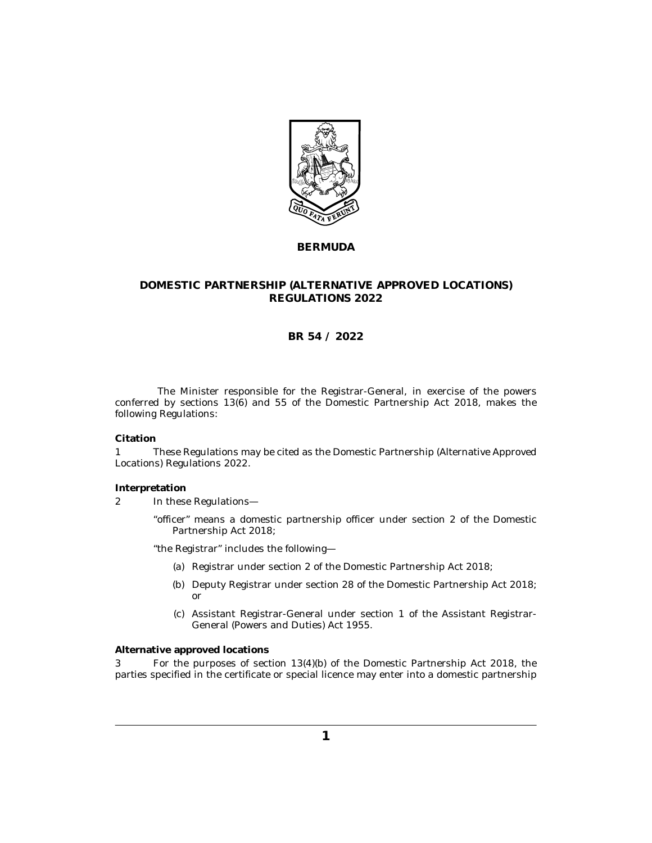

## **BERMUDA**

# **DOMESTIC PARTNERSHIP (ALTERNATIVE APPROVED LOCATIONS) REGULATIONS 2022**

# **BR 54 / 2022**

The Minister responsible for the Registrar-General, in exercise of the powers conferred by sections 13(6) and 55 of the Domestic Partnership Act 2018, makes the following Regulations:

### **Citation**

These Regulations may be cited as the Domestic Partnership (Alternative Approved Locations) Regulations 2022. 1

#### **Interpretation**

- In these Regulations— 2
	- "officer" means a domestic partnership officer under section 2 of the Domestic Partnership Act 2018;

"the Registrar" includes the following—

- (a) Registrar under section 2 of the Domestic Partnership Act 2018;
- (b) Deputy Registrar under section 28 of the Domestic Partnership Act 2018; or
- Assistant Registrar-General under section 1 of the Assistant Registrar-(c) General (Powers and Duties) Act 1955.

#### **Alternative approved locations**

For the purposes of section 13(4)(b) of the Domestic Partnership Act 2018, the parties specified in the certificate or special licence may enter into a domestic partnership 3